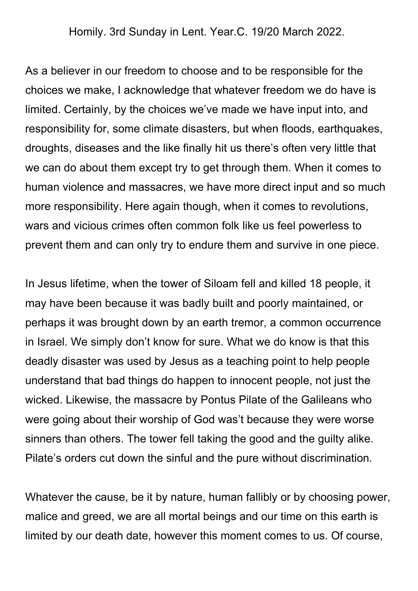Homily. 3rd Sunday in Lent. Year.C. 19/20 March 2022.

As a believer in our freedom to choose and to be responsible for the choices we make, I acknowledge that whatever freedom we do have is limited. Certainly, by the choices we've made we have input into, and responsibility for, some climate disasters, but when floods, earthquakes, droughts, diseases and the like finally hit us there's often very little that we can do about them except try to get through them. When it comes to human violence and massacres, we have more direct input and so much more responsibility. Here again though, when it comes to revolutions, wars and vicious crimes often common folk like us feel powerless to prevent them and can only try to endure them and survive in one piece.

In Jesus lifetime, when the tower of Siloam fell and killed 18 people, it may have been because it was badly built and poorly maintained, or perhaps it was brought down by an earth tremor, a common occurrence in Israel. We simply don't know for sure. What we do know is that this deadly disaster was used by Jesus as a teaching point to help people understand that bad things do happen to innocent people, not just the wicked. Likewise, the massacre by Pontus Pilate of the Galileans who were going about their worship of God was't because they were worse sinners than others. The tower fell taking the good and the guilty alike. Pilate's orders cut down the sinful and the pure without discrimination.

Whatever the cause, be it by nature, human fallibly or by choosing power, malice and greed, we are all mortal beings and our time on this earth is limited by our death date, however this moment comes to us. Of course,